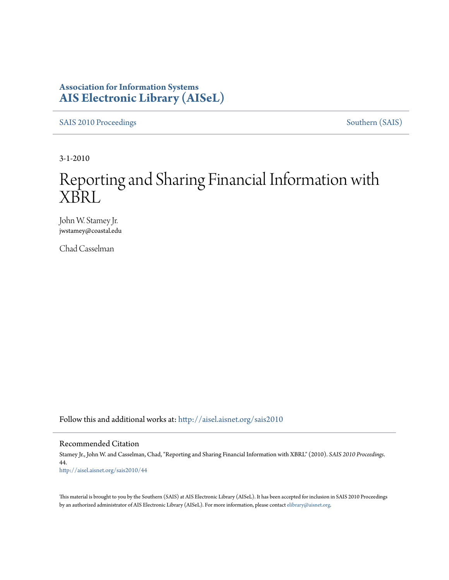### **Association for Information Systems [AIS Electronic Library \(AISeL\)](http://aisel.aisnet.org?utm_source=aisel.aisnet.org%2Fsais2010%2F44&utm_medium=PDF&utm_campaign=PDFCoverPages)**

[SAIS 2010 Proceedings](http://aisel.aisnet.org/sais2010?utm_source=aisel.aisnet.org%2Fsais2010%2F44&utm_medium=PDF&utm_campaign=PDFCoverPages) [Southern \(SAIS\)](http://aisel.aisnet.org/sais?utm_source=aisel.aisnet.org%2Fsais2010%2F44&utm_medium=PDF&utm_campaign=PDFCoverPages)

3-1-2010

# Reporting and Sharing Financial Information with XBRL

John W. Stamey Jr. jwstamey@coastal.edu

Chad Casselman

Follow this and additional works at: [http://aisel.aisnet.org/sais2010](http://aisel.aisnet.org/sais2010?utm_source=aisel.aisnet.org%2Fsais2010%2F44&utm_medium=PDF&utm_campaign=PDFCoverPages)

#### Recommended Citation

Stamey Jr., John W. and Casselman, Chad, "Reporting and Sharing Financial Information with XBRL" (2010). *SAIS 2010 Proceedings*. 44. [http://aisel.aisnet.org/sais2010/44](http://aisel.aisnet.org/sais2010/44?utm_source=aisel.aisnet.org%2Fsais2010%2F44&utm_medium=PDF&utm_campaign=PDFCoverPages)

This material is brought to you by the Southern (SAIS) at AIS Electronic Library (AISeL). It has been accepted for inclusion in SAIS 2010 Proceedings by an authorized administrator of AIS Electronic Library (AISeL). For more information, please contact [elibrary@aisnet.org](mailto:elibrary@aisnet.org%3E).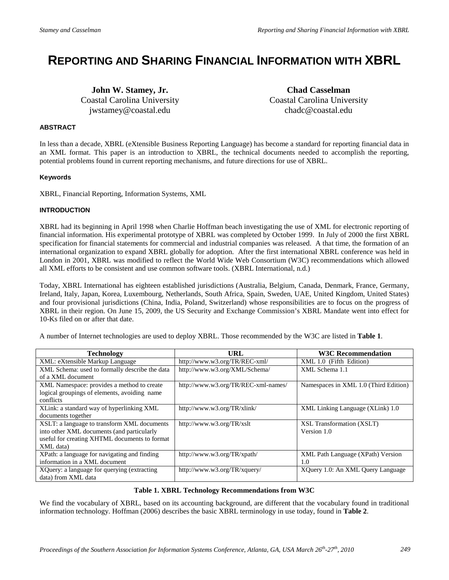## **REPORTING AND SHARING FINANCIAL INFORMATION WITH XBRL**

**John W. Stamey, Jr.** Coastal Carolina University jwstamey@coastal.edu

**Chad Casselman** Coastal Carolina University chadc@coastal.edu

#### **ABSTRACT**

In less than a decade, XBRL (eXtensible Business Reporting Language) has become a standard for reporting financial data in an XML format. This paper is an introduction to XBRL, the technical documents needed to accomplish the reporting, potential problems found in current reporting mechanisms, and future directions for use of XBRL.

#### **Keywords**

XBRL, Financial Reporting, Information Systems, XML

#### **INTRODUCTION**

XBRL had its beginning in April 1998 when Charlie Hoffman beach investigating the use of XML for electronic reporting of financial information. His experimental prototype of XBRL was completed by October 1999. In July of 2000 the first XBRL specification for financial statements for commercial and industrial companies was released. A that time, the formation of an international organization to expand XBRL globally for adoption. After the first international XBRL conference was held in London in 2001, XBRL was modified to reflect the World Wide Web Consortium (W3C) recommendations which allowed all XML efforts to be consistent and use common software tools. (XBRL International, n.d.)

Today, XBRL International has eighteen established jurisdictions (Australia, Belgium, Canada, Denmark, France, Germany, Ireland, Italy, Japan, Korea, Luxembourg, Netherlands, South Africa, Spain, Sweden, UAE, United Kingdom, United States) and four provisional jurisdictions (China, India, Poland, Switzerland) whose responsibilities are to focus on the progress of XBRL in their region. On June 15, 2009, the US Security and Exchange Commission's XBRL Mandate went into effect for 10-Ks filed on or after that date.

A number of Internet technologies are used to deploy XBRL. Those recommended by the W3C are listed in **Table 1**.

| <b>Technology</b>                              | URL                                 | <b>W3C Recommendation</b>                |
|------------------------------------------------|-------------------------------------|------------------------------------------|
| XML: eXtensible Markup Language                | http://www.w3.org/TR/REC-xml/       | XML 1.0 (Fifth Edition)                  |
| XML Schema: used to formally describe the data | http://www.w3.org/XML/Schema/       | XML Schema 1.1                           |
| of a XML document                              |                                     |                                          |
| XML Namespace: provides a method to create     | http://www.w3.org/TR/REC-xml-names/ | Namespaces in XML 1.0 (Third Edition)    |
| logical groupings of elements, avoiding name   |                                     |                                          |
| conflicts                                      |                                     |                                          |
| XLink: a standard way of hyperlinking XML      | http://www.w3.org/TR/xlink/         | XML Linking Language (XLink) 1.0         |
| documents together                             |                                     |                                          |
| XSLT: a language to transform XML documents    | http://www.w3.org/TR/xslt           | XSL Transformation (XSLT)                |
| into other XML documents (and particularly     |                                     | Version 1.0                              |
| useful for creating XHTML documents to format  |                                     |                                          |
| XML data)                                      |                                     |                                          |
| XPath: a language for navigating and finding   | http://www.w3.org/TR/xpath/         | <b>XML</b> Path Language (XPath) Version |
| information in a XML document                  |                                     | 1.0                                      |
| XQuery: a language for querying (extracting)   | http://www.w3.org/TR/xquery/        | XQuery 1.0: An XML Query Language        |
| data) from XML data                            |                                     |                                          |

#### **Table 1. XBRL Technology Recommendations from W3C**

We find the vocabulary of XBRL, based on its accounting background, are different that the vocabulary found in traditional information technology. Hoffman (2006) describes the basic XBRL terminology in use today, found in **Table 2**.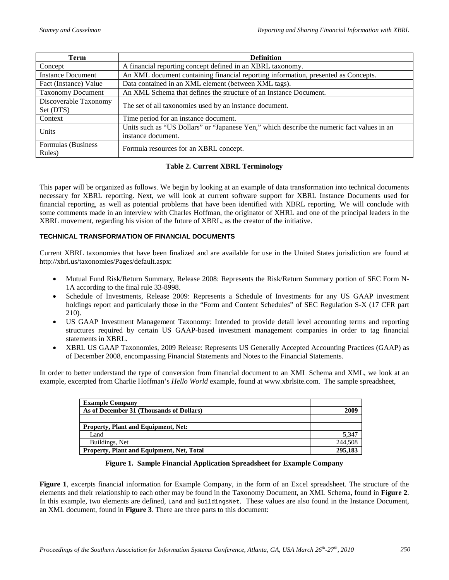| <b>Term</b>              | <b>Definition</b>                                                                          |  |  |
|--------------------------|--------------------------------------------------------------------------------------------|--|--|
| Concept                  | A financial reporting concept defined in an XBRL taxonomy.                                 |  |  |
| <b>Instance Document</b> | An XML document containing financial reporting information, presented as Concepts.         |  |  |
| Fact (Instance) Value    | Data contained in an XML element (between XML tags).                                       |  |  |
| <b>Taxonomy Document</b> | An XML Schema that defines the structure of an Instance Document.                          |  |  |
| Discoverable Taxonomy    |                                                                                            |  |  |
| Set (DTS)                | The set of all taxonomies used by an instance document.                                    |  |  |
| Context                  | Time period for an instance document.                                                      |  |  |
| Units                    | Units such as "US Dollars" or "Japanese Yen," which describe the numeric fact values in an |  |  |
|                          | instance document.                                                                         |  |  |
| Formulas (Business       | Formula resources for an XBRL concept.                                                     |  |  |
| Rules)                   |                                                                                            |  |  |

#### **Table 2. Current XBRL Terminology**

This paper will be organized as follows. We begin by looking at an example of data transformation into technical documents necessary for XBRL reporting. Next, we will look at current software support for XBRL Instance Documents used for financial reporting, as well as potential problems that have been identified with XBRL reporting. We will conclude with some comments made in an interview with Charles Hoffman, the originator of XHRL and one of the principal leaders in the XBRL movement, regarding his vision of the future of XBRL, as the creator of the initiative.

#### **TECHNICAL TRANSFORMATION OF FINANCIAL DOCUMENTS**

Current XBRL taxonomies that have been finalized and are available for use in the United States jurisdiction are found at http://xbrl.us/taxonomies/Pages/default.aspx:

- Mutual Fund Risk/Return Summary, Release 2008: Represents the Risk/Return Summary portion of SEC Form N-1A according to the final rule 33-8998.
- Schedule of Investments, Release 2009: Represents a Schedule of Investments for any US GAAP investment holdings report and particularly those in the "Form and Content Schedules" of SEC Regulation S-X (17 CFR part 210).
- US GAAP Investment Management Taxonomy: Intended to provide detail level accounting terms and reporting structures required by certain US GAAP-based investment management companies in order to tag financial statements in XBRL.
- XBRL US GAAP Taxonomies, 2009 Release: Represents US Generally Accepted Accounting Practices (GAAP) as of December 2008, encompassing Financial Statements and Notes to the Financial Statements.

In order to better understand the type of conversion from financial document to an XML Schema and XML, we look at an example, excerpted from Charlie Hoffman's *Hello World* example, found at www.xbrlsite.com. The sample spreadsheet,

| <b>Example Company</b>                           |         |
|--------------------------------------------------|---------|
| As of December 31 (Thousands of Dollars)         | 2009    |
|                                                  |         |
| <b>Property, Plant and Equipment, Net:</b>       |         |
| Land                                             | 5,347   |
| Buildings, Net                                   | 244,508 |
| <b>Property, Plant and Equipment, Net, Total</b> | 295.183 |

**Figure 1. Sample Financial Application Spreadsheet for Example Company**

**Figure 1**, excerpts financial information for Example Company, in the form of an Excel spreadsheet. The structure of the elements and their relationship to each other may be found in the Taxonomy Document, an XML Schema, found in **Figure 2**. In this example, two elements are defined, Land and BuildingsNet. These values are also found in the Instance Document, an XML document, found in **Figure 3**. There are three parts to this document: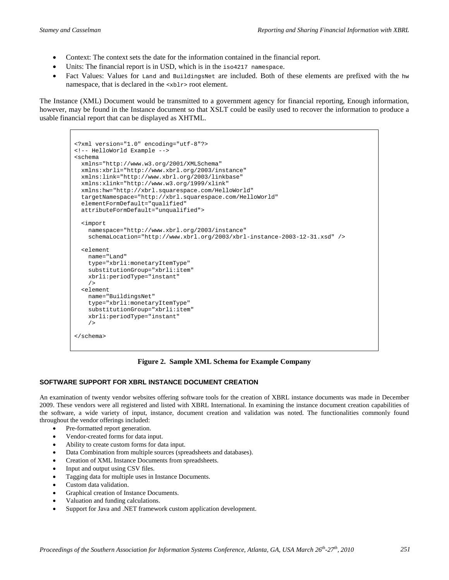- Context: The context sets the date for the information contained in the financial report.
- Units: The financial report is in USD, which is in the iso4217 namespace.
- Fact Values: Values for Land and BuildingsNet are included. Both of these elements are prefixed with the hw namespace, that is declared in the <xblr> root element.

The Instance (XML) Document would be transmitted to a government agency for financial reporting, Enough information, however, may be found in the Instance document so that XSLT could be easily used to recover the information to produce a usable financial report that can be displayed as XHTML.

```
<?xml version="1.0" encoding="utf-8"?>
<!-- HelloWorld Example --> 
<schema
   xmlns="http://www.w3.org/2001/XMLSchema"
   xmlns:xbrli="http://www.xbrl.org/2003/instance"
   xmlns:link="http://www.xbrl.org/2003/linkbase"
  xmlns:xlink="http://www.w3.org/1999/xlink"
   xmlns:hw="http://xbrl.squarespace.com/HelloWorld"
   targetNamespace="http://xbrl.squarespace.com/HelloWorld"
   elementFormDefault="qualified"
   attributeFormDefault="unqualified">
   <import
    namespace="http://www.xbrl.org/2003/instance"
     schemaLocation="http://www.xbrl.org/2003/xbrl-instance-2003-12-31.xsd" />
   <element
     name="Land"
     type="xbrli:monetaryItemType"
     substitutionGroup="xbrli:item"
    xbrli:periodType="instant"
     />
   <element
    name="BuildingsNet"
     type="xbrli:monetaryItemType"
     substitutionGroup="xbrli:item"
    xbrli:periodType="instant"
     /> 
</schema>
```
#### **Figure 2. Sample XML Schema for Example Company**

#### **SOFTWARE SUPPORT FOR XBRL INSTANCE DOCUMENT CREATION**

An examination of twenty vendor websites offering software tools for the creation of XBRL instance documents was made in December 2009. These vendors were all registered and listed with XBRL International. In examining the instance document creation capabilities of the software, a wide variety of input, instance, document creation and validation was noted. The functionalities commonly found throughout the vendor offerings included:

- Pre-formatted report generation.
- Vendor-created forms for data input.
- Ability to create custom forms for data input.
- Data Combination from multiple sources (spreadsheets and databases).
- Creation of XML Instance Documents from spreadsheets.
- Input and output using CSV files.
- Tagging data for multiple uses in Instance Documents.
- Custom data validation.
- Graphical creation of Instance Documents.
- Valuation and funding calculations.
- Support for Java and .NET framework custom application development.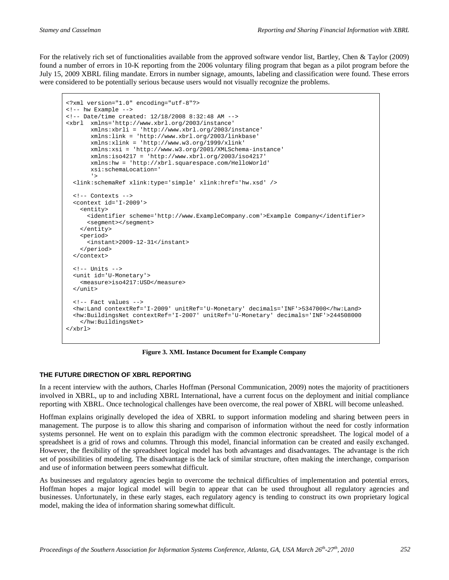For the relatively rich set of functionalities available from the approved software vendor list, Bartley, Chen & Taylor (2009) found a number of errors in 10-K reporting from the 2006 voluntary filing program that began as a pilot program before the July 15, 2009 XBRL filing mandate. Errors in number signage, amounts, labeling and classification were found. These errors were considered to be potentially serious because users would not visually recognize the problems.

```
<?xml version="1.0" encoding="utf-8"?>
<!-- hw Example --> 
<!-- Date/time created: 12/18/2008 8:32:48 AM --> 
<xbrl xmlns='http://www.xbrl.org/2003/instance'
        xmlns:xbrli = 'http://www.xbrl.org/2003/instance'
        xmlns:link = 'http://www.xbrl.org/2003/linkbase'
        xmlns:xlink = 'http://www.w3.org/1999/xlink'
        xmlns:xsi = 'http://www.w3.org/2001/XMLSchema-instance'
        xmlns:iso4217 = 'http://www.xbrl.org/2003/iso4217'
        xmlns:hw = 'http://xbrl.squarespace.com/HelloWorld'
        xsi:schemaLocation='
'> '>
 <link:schemaRef xlink:type='simple' xlink:href='hw.xsd' />
  \epsilon<sup>1-- Contexts --></sup>
   <context id='I-2009'>
    <entity>
       <identifier scheme='http://www.ExampleCompany.com'>Example Company</identifier>
       <segment></segment>
     </entity>
     <period>
       <instant>2009-12-31</instant>
     </period>
   </context>
  \leq 1 - Inits - <unit id='U-Monetary'>
     <measure>iso4217:USD</measure>
  \epsilon/unit>
   <!-- Fact values --> 
   <hw:Land contextRef='I-2009' unitRef='U-Monetary' decimals='INF'>5347000</hw:Land>
   <hw:BuildingsNet contextRef='I-2007' unitRef='U-Monetary' decimals='INF'>244508000
     </hw:BuildingsNet>
</xbrl>
```
**Figure 3. XML Instance Document for Example Company**

#### **THE FUTURE DIRECTION OF XBRL REPORTING**

In a recent interview with the authors, Charles Hoffman (Personal Communication, 2009) notes the majority of practitioners involved in XBRL, up to and including XBRL International, have a current focus on the deployment and initial compliance reporting with XBRL. Once technological challenges have been overcome, the real power of XBRL will become unleashed.

Hoffman explains originally developed the idea of XBRL to support information modeling and sharing between peers in management. The purpose is to allow this sharing and comparison of information without the need for costly information systems personnel. He went on to explain this paradigm with the common electronic spreadsheet. The logical model of a spreadsheet is a grid of rows and columns. Through this model, financial information can be created and easily exchanged. However, the flexibility of the spreadsheet logical model has both advantages and disadvantages. The advantage is the rich set of possibilities of modeling. The disadvantage is the lack of similar structure, often making the interchange, comparison and use of information between peers somewhat difficult.

As businesses and regulatory agencies begin to overcome the technical difficulties of implementation and potential errors, Hoffman hopes a major logical model will begin to appear that can be used throughout all regulatory agencies and businesses. Unfortunately, in these early stages, each regulatory agency is tending to construct its own proprietary logical model, making the idea of information sharing somewhat difficult.